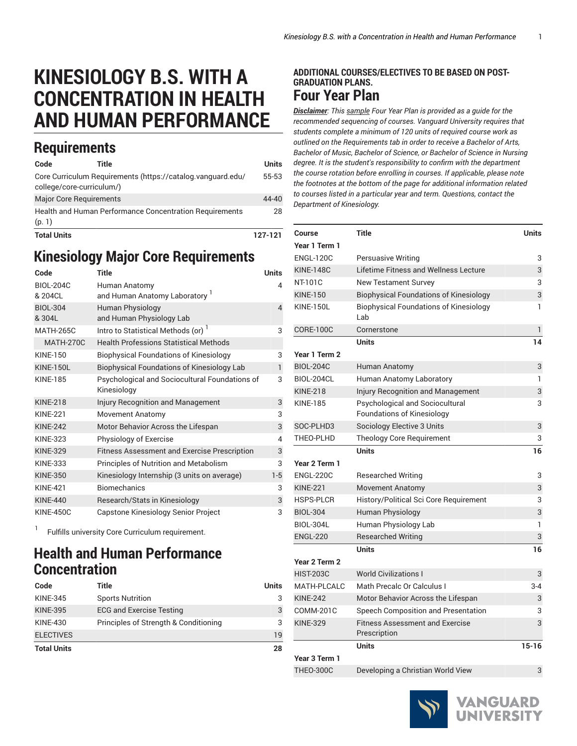# **KINESIOLOGY B.S. WITH A CONCENTRATION IN HEALTH AND HUMAN PERFORMANCE**

## **Requirements**

| Code                                                                                     | Title                          |  | Units   |
|------------------------------------------------------------------------------------------|--------------------------------|--|---------|
| Core Curriculum Requirements (https://catalog.vanguard.edu/<br>college/core-curriculum/) |                                |  | 55-53   |
|                                                                                          | <b>Major Core Requirements</b> |  | 44-40   |
| Health and Human Performance Concentration Requirements<br>(p. 1)                        |                                |  | 28      |
| <b>Total Units</b>                                                                       |                                |  | 127-121 |

# **Kinesiology Major Core Requirements**

| Code                        | <b>Title</b>                                                  | <b>Units</b>   |
|-----------------------------|---------------------------------------------------------------|----------------|
| <b>BIOL-204C</b><br>& 204CL | Human Anatomy<br>and Human Anatomy Laboratory                 | 4              |
| <b>BIOL-304</b><br>& 304L   | <b>Human Physiology</b><br>and Human Physiology Lab           | $\overline{4}$ |
| <b>MATH-265C</b>            | Intro to Statistical Methods (or)                             | 3              |
| <b>MATH-270C</b>            | <b>Health Professions Statistical Methods</b>                 |                |
| <b>KINF-150</b>             | <b>Biophysical Foundations of Kinesiology</b>                 | 3              |
| <b>KINE-150L</b>            | <b>Biophysical Foundations of Kinesiology Lab</b>             | $\mathbf{1}$   |
| <b>KINE-185</b>             | Psychological and Sociocultural Foundations of<br>Kinesiology | 3              |
| <b>KINE-218</b>             | Injury Recognition and Management                             | 3              |
| <b>KINE-221</b>             | <b>Movement Anatomy</b>                                       | 3              |
| <b>KINE-242</b>             | Motor Behavior Across the Lifespan                            | 3              |
| <b>KINE-323</b>             | Physiology of Exercise                                        | 4              |
| <b>KINE-329</b>             | <b>Fitness Assessment and Exercise Prescription</b>           | 3              |
| <b>KINE-333</b>             | Principles of Nutrition and Metabolism                        | 3              |
| <b>KINE-350</b>             | Kinesiology Internship (3 units on average)                   | $1-5$          |
| <b>KINF-421</b>             | <b>Biomechanics</b>                                           | 3              |
| <b>KINE-440</b>             | Research/Stats in Kinesiology                                 | 3              |
| <b>KINE-450C</b>            | Capstone Kinesiology Senior Project                           | 3              |

<span id="page-0-0"></span>1 Fulfills university Core Curriculum requirement.

## **Health and Human Performance Concentration**

| Code               | Title                                 | Units |
|--------------------|---------------------------------------|-------|
| <b>KINE-345</b>    | <b>Sports Nutrition</b>               | 3     |
| <b>KINE-395</b>    | <b>ECG and Exercise Testing</b>       | 3     |
| <b>KINE-430</b>    | Principles of Strength & Conditioning | 3     |
| <b>ELECTIVES</b>   |                                       | 19    |
| <b>Total Units</b> |                                       | 28    |

#### **ADDITIONAL COURSES/ELECTIVES TO BE BASED ON POST-GRADUATION PLANS. Four Year Plan**

*Disclaimer: This sample Four Year Plan is provided as a guide for the recommended sequencing of courses. Vanguard University requires that students complete a minimum of 120 units of required course work as outlined on the Requirements tab in order to receive a Bachelor of Arts, Bachelor of Music, Bachelor of Science, or Bachelor of Science in Nursing degree. It is the student's responsibility to confirm with the department the course rotation before enrolling in courses. If applicable, please note the footnotes at the bottom of the page for additional information related to courses listed in a particular year and term. Questions, contact the Department of Kinesiology.*

| Course             | <b>Title</b>                                                         | <b>Units</b> |
|--------------------|----------------------------------------------------------------------|--------------|
| Year 1 Term 1      |                                                                      |              |
| <b>ENGL-120C</b>   | Persuasive Writing                                                   | 3            |
| <b>KINE-148C</b>   | Lifetime Fitness and Wellness Lecture                                | 3            |
| NT-101C            | <b>New Testament Survey</b>                                          | 3            |
| <b>KINE-150</b>    | <b>Biophysical Foundations of Kinesiology</b>                        | 3            |
| <b>KINE-150L</b>   | <b>Biophysical Foundations of Kinesiology</b><br>Lab                 | 1            |
| <b>CORE-100C</b>   | Cornerstone                                                          | 1            |
|                    | <b>Units</b>                                                         | 14           |
| Year 1 Term 2      |                                                                      |              |
| <b>BIOL-204C</b>   | Human Anatomy                                                        | 3            |
| BIOL-204CL         | Human Anatomy Laboratory                                             | 1            |
| <b>KINE-218</b>    | Injury Recognition and Management                                    | 3            |
| <b>KINE-185</b>    | Psychological and Sociocultural<br><b>Foundations of Kinesiology</b> | 3            |
| SOC-PLHD3          | Sociology Elective 3 Units                                           | 3            |
| THEO-PLHD          | Theology Core Requirement                                            | 3            |
|                    | <b>Units</b>                                                         | 16           |
| Year 2 Term 1      |                                                                      |              |
| <b>ENGL-220C</b>   | <b>Researched Writing</b>                                            | 3            |
| <b>KINE-221</b>    | <b>Movement Anatomy</b>                                              | 3            |
| <b>HSPS-PLCR</b>   | History/Political Sci Core Requirement                               | 3            |
| <b>BIOL-304</b>    | Human Physiology                                                     | 3            |
| <b>BIOL-304L</b>   | Human Physiology Lab                                                 | 1            |
| <b>ENGL-220</b>    | <b>Researched Writing</b>                                            | 3            |
|                    | <b>Units</b>                                                         | 16           |
| Year 2 Term 2      |                                                                      |              |
| <b>HIST-203C</b>   | <b>World Civilizations I</b>                                         | 3            |
| <b>MATH-PLCALC</b> | Math Precalc Or Calculus I                                           | $3 - 4$      |
| <b>KINE-242</b>    | Motor Behavior Across the Lifespan                                   | 3            |
| <b>COMM-201C</b>   | Speech Composition and Presentation                                  | 3            |
| <b>KINE-329</b>    | <b>Fitness Assessment and Exercise</b><br>Prescription               | 3            |
|                    | <b>Units</b>                                                         | $15 - 16$    |
| Year 3 Term 1      |                                                                      |              |
| <b>THEO-300C</b>   | Developing a Christian World View                                    | 3            |